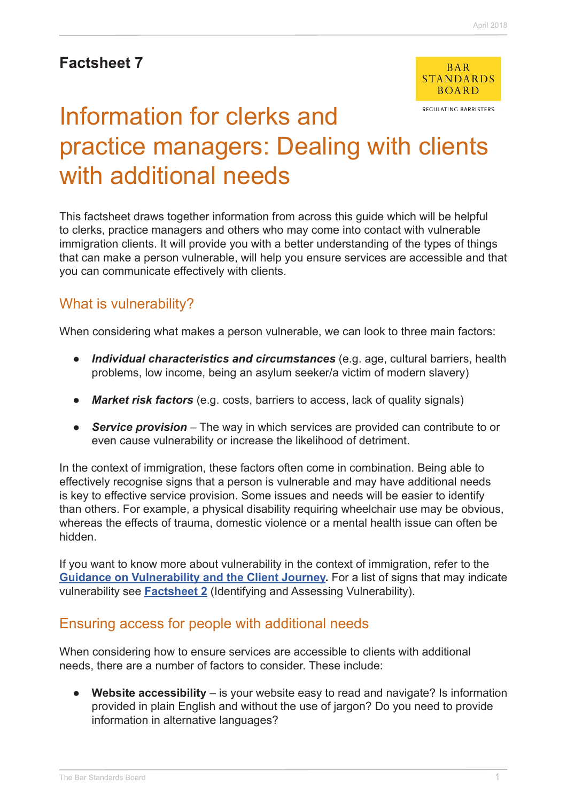## **Factsheet 7**



REGULATING BARRISTERS

# Information for clerks and practice managers: Dealing with clients with additional needs

This factsheet draws together information from across this guide which will be helpful to clerks, practice managers and others who may come into contact with vulnerable immigration clients. It will provide you with a better understanding of the types of things that can make a person vulnerable, will help you ensure services are accessible and that you can communicate effectively with clients.

## What is vulnerability?

When considering what makes a person vulnerable, we can look to three main factors:

- **●** *Individual characteristics and circumstances* (e.g. age, cultural barriers, health problems, low income, being an asylum seeker/a victim of modern slavery)
- **●** *Market risk factors* (e.g. costs, barriers to access, lack of quality signals)
- **●** *Service provision* The way in which services are provided can contribute to or even cause vulnerability or increase the likelihood of detriment.

In the context of immigration, these factors often come in combination. Being able to effectively recognise signs that a person is vulnerable and may have additional needs is key to effective service provision. Some issues and needs will be easier to identify than others. For example, a physical disability requiring wheelchair use may be obvious, whereas the effects of trauma, domestic violence or a mental health issue can often be hidden.

If you want to know more about vulnerability in the context of immigration, refer to the **[Guidance on Vulnerability and the Client Journey.](http://www.barstandardsboard.org.uk/media/1929040/immigration_vulnerability_guidance_2018.pdf)** For a list of signs that may indicate vulnerability see **[Factsheet 2](http://www.barstandardsboard.org.uk/media/1929008/factsheet_2.pdf)** (Identifying and Assessing Vulnerability).

#### Ensuring access for people with additional needs

When considering how to ensure services are accessible to clients with additional needs, there are a number of factors to consider. These include:

**• Website accessibility** – is your website easy to read and navigate? Is information provided in plain English and without the use of jargon? Do you need to provide information in alternative languages?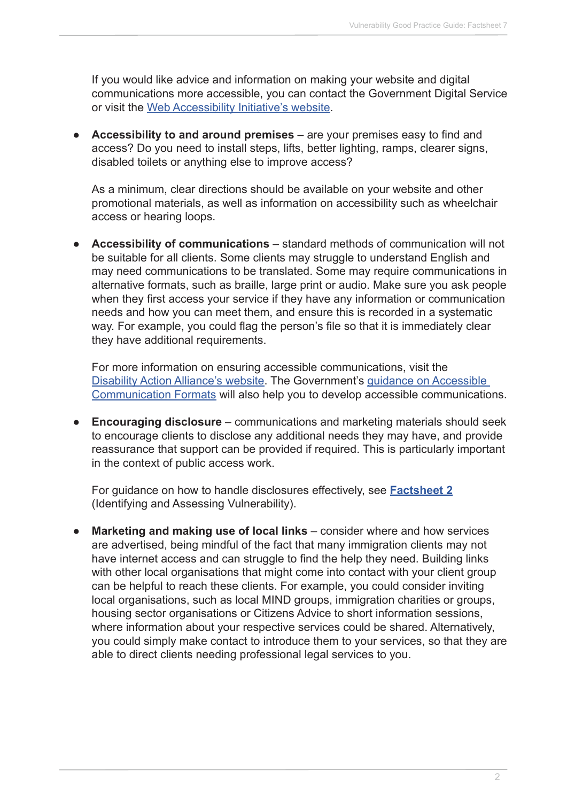If you would like advice and information on making your website and digital communications more accessible, you can contact the Government Digital Service or visit the [Web Accessibility Initiative's website.](https://www.w3.org/WAI/gettingstarted/tips/)

**● Accessibility to and around premises** – are your premises easy to find and access? Do you need to install steps, lifts, better lighting, ramps, clearer signs, disabled toilets or anything else to improve access?

As a minimum, clear directions should be available on your website and other promotional materials, as well as information on accessibility such as wheelchair access or hearing loops.

**● Accessibility of communications** – standard methods of communication will not be suitable for all clients. Some clients may struggle to understand English and may need communications to be translated. Some may require communications in alternative formats, such as braille, large print or audio. Make sure you ask people when they first access your service if they have any information or communication needs and how you can meet them, and ensure this is recorded in a systematic way. For example, you could flag the person's file so that it is immediately clear they have additional requirements.

For more information on ensuring accessible communications, visit the [Disability Action Alliance's website.](http://disabilityactionalliance.org.uk/) The Government's [guidance on Accessible](https://www.gov.uk/government/publications/inclusive-communication/accessible-communication-formats)  [Communication Formats](https://www.gov.uk/government/publications/inclusive-communication/accessible-communication-formats) will also help you to develop accessible communications.

**● Encouraging disclosure** – communications and marketing materials should seek to encourage clients to disclose any additional needs they may have, and provide reassurance that support can be provided if required. This is particularly important in the context of public access work.

For guidance on how to handle disclosures effectively, see **[Factsheet 2](http://www.barstandardsboard.org.uk/media/1929008/factsheet_2.pdf)** (Identifying and Assessing Vulnerability).

**Marketing and making use of local links** – consider where and how services are advertised, being mindful of the fact that many immigration clients may not have internet access and can struggle to find the help they need. Building links with other local organisations that might come into contact with your client group can be helpful to reach these clients. For example, you could consider inviting local organisations, such as local MIND groups, immigration charities or groups, housing sector organisations or Citizens Advice to short information sessions, where information about your respective services could be shared. Alternatively, you could simply make contact to introduce them to your services, so that they are able to direct clients needing professional legal services to you.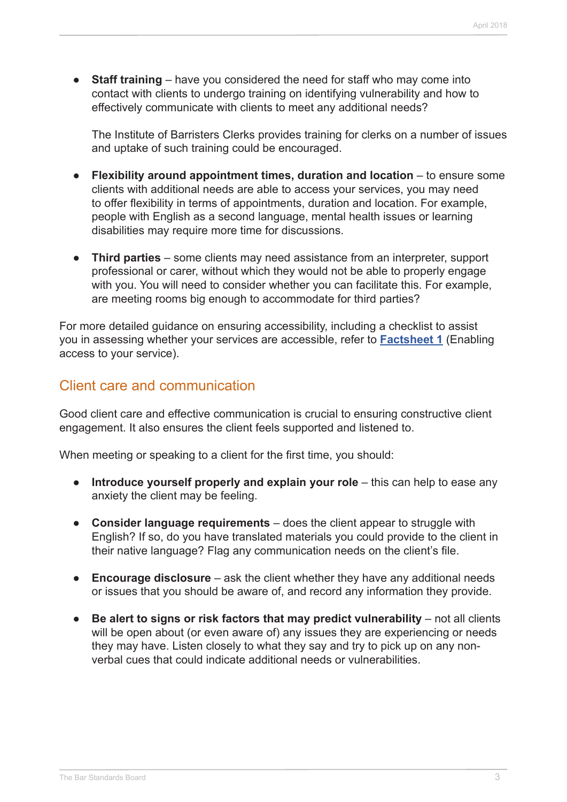**• Staff training** – have you considered the need for staff who may come into contact with clients to undergo training on identifying vulnerability and how to effectively communicate with clients to meet any additional needs?

The Institute of Barristers Clerks provides training for clerks on a number of issues and uptake of such training could be encouraged.

- **● Flexibility around appointment times, duration and location**  to ensure some clients with additional needs are able to access your services, you may need to offer flexibility in terms of appointments, duration and location. For example, people with English as a second language, mental health issues or learning disabilities may require more time for discussions.
- **● Third parties** some clients may need assistance from an interpreter, support professional or carer, without which they would not be able to properly engage with you. You will need to consider whether you can facilitate this. For example, are meeting rooms big enough to accommodate for third parties?

For more detailed guidance on ensuring accessibility, including a checklist to assist you in assessing whether your services are accessible, refer to **[Factsheet 1](http://www.barstandardsboard.org.uk/media/1929004/factsheet_1.pdf)** (Enabling access to your service).

### Client care and communication

Good client care and effective communication is crucial to ensuring constructive client engagement. It also ensures the client feels supported and listened to.

When meeting or speaking to a client for the first time, you should:

- **● Introduce yourself properly and explain your role** this can help to ease any anxiety the client may be feeling.
- **● Consider language requirements**  does the client appear to struggle with English? If so, do you have translated materials you could provide to the client in their native language? Flag any communication needs on the client's file.
- **● Encourage disclosure** ask the client whether they have any additional needs or issues that you should be aware of, and record any information they provide.
- **•** Be alert to signs or risk factors that may predict vulnerability not all clients will be open about (or even aware of) any issues they are experiencing or needs they may have. Listen closely to what they say and try to pick up on any nonverbal cues that could indicate additional needs or vulnerabilities.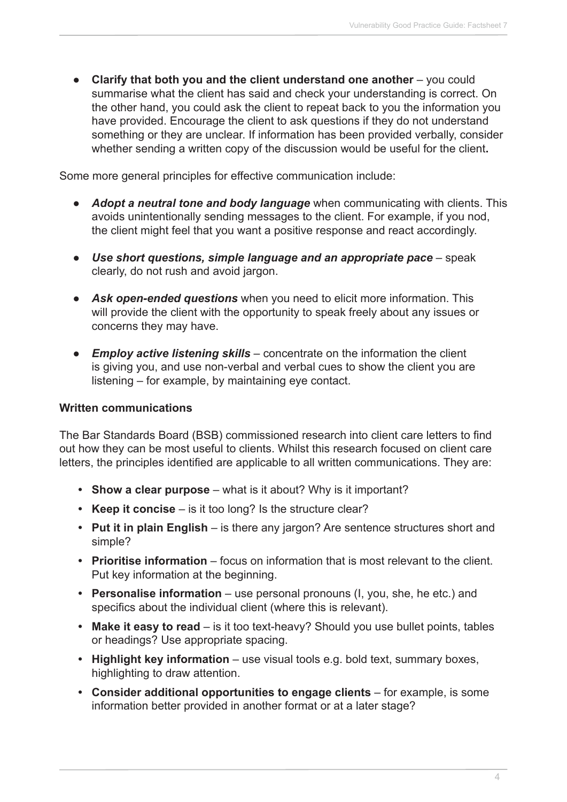**● Clarify that both you and the client understand one another** – you could summarise what the client has said and check your understanding is correct. On the other hand, you could ask the client to repeat back to you the information you have provided. Encourage the client to ask questions if they do not understand something or they are unclear. If information has been provided verbally, consider whether sending a written copy of the discussion would be useful for the client**.** 

Some more general principles for effective communication include:

- **●** *Adopt a neutral tone and body language* when communicating with clients. This avoids unintentionally sending messages to the client. For example, if you nod, the client might feel that you want a positive response and react accordingly.
- **●** *Use short questions, simple language and an appropriate pace* speak clearly, do not rush and avoid jargon.
- **●** *Ask open-ended questions* when you need to elicit more information. This will provide the client with the opportunity to speak freely about any issues or concerns they may have.
- **●** *Employ active listening skills* concentrate on the information the client is giving you, and use non-verbal and verbal cues to show the client you are listening – for example, by maintaining eye contact.

#### **Written communications**

The Bar Standards Board (BSB) commissioned research into client care letters to find out how they can be most useful to clients. Whilst this research focused on client care letters, the principles identified are applicable to all written communications. They are:

- **• Show a clear purpose** what is it about? Why is it important?
- **Keep it concise** is it too long? Is the structure clear?
- **• Put it in plain English**  is there any jargon? Are sentence structures short and simple?
- **• Prioritise information** focus on information that is most relevant to the client. Put key information at the beginning.
- **Personalise information** use personal pronouns (I, you, she, he etc.) and specifics about the individual client (where this is relevant).
- Make it easy to read is it too text-heavy? Should you use bullet points, tables or headings? Use appropriate spacing.
- **Highlight key information** use visual tools e.g. bold text, summary boxes, highlighting to draw attention.
- Consider additional opportunities to engage clients for example, is some information better provided in another format or at a later stage?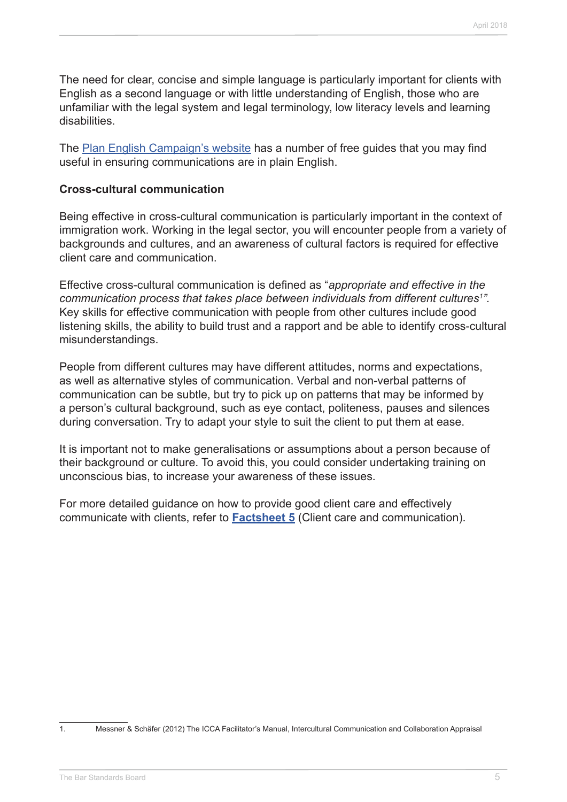The need for clear, concise and simple language is particularly important for clients with English as a second language or with little understanding of English, those who are unfamiliar with the legal system and legal terminology, low literacy levels and learning disabilities.

The [Plan English Campaign's website](http://plainenglish.co.uk/free-guides.html) has a number of free guides that you may find useful in ensuring communications are in plain English.

#### **Cross-cultural communication**

Being effective in cross-cultural communication is particularly important in the context of immigration work. Working in the legal sector, you will encounter people from a variety of backgrounds and cultures, and an awareness of cultural factors is required for effective client care and communication.

Effective cross-cultural communication is defined as "*appropriate and effective in the communication process that takes place between individuals from different cultures1 ".*  Key skills for effective communication with people from other cultures include good listening skills, the ability to build trust and a rapport and be able to identify cross-cultural misunderstandings.

People from different cultures may have different attitudes, norms and expectations, as well as alternative styles of communication. Verbal and non-verbal patterns of communication can be subtle, but try to pick up on patterns that may be informed by a person's cultural background, such as eye contact, politeness, pauses and silences during conversation. Try to adapt your style to suit the client to put them at ease.

It is important not to make generalisations or assumptions about a person because of their background or culture. To avoid this, you could consider undertaking training on unconscious bias, to increase your awareness of these issues.

For more detailed guidance on how to provide good client care and effectively communicate with clients, refer to **[Factsheet 5](http://www.barstandardsboard.org.uk/media/1929020/factsheet_5.pdf)** (Client care and communication).

<sup>1.</sup> Messner & Schäfer (2012) The ICCA Facilitator's Manual, Intercultural Communication and Collaboration Appraisal